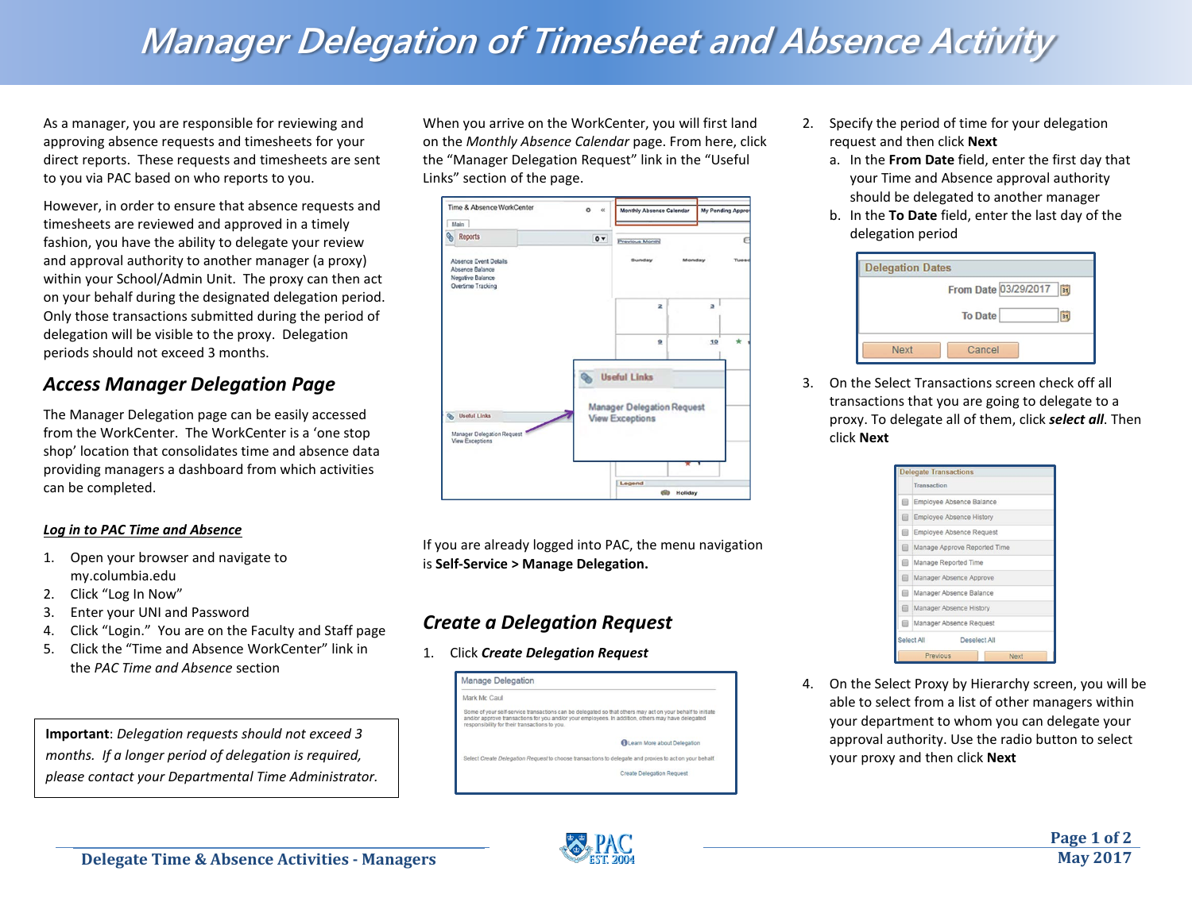# **Manager Delegation of Timesheet and Absence Activity**

As a manager, you are responsible for reviewing and approving absence requests and timesheets for your direct reports. These requests and timesheets are sent to you via PAC based on who reports to you.

However, in order to ensure that absence requests and timesheets are reviewed and approved in a timely fashion, you have the ability to delegate your review and approval authority to another manager (a proxy) within your School/Admin Unit. The proxy can then act on your behalf during the designated delegation period. Only those transactions submitted during the period of delegation will be visible to the proxy. Delegation periods should not exceed 3 months.

### *Access Manager Delegation Page*

The Manager Delegation page can be easily accessed from the WorkCenter. The WorkCenter is a 'one stop shop' location that consolidates time and absence data providing managers a dashboard from which activities can be completed.

#### *Log in to PAC Time and Absence*

- 1. Open your browser and navigate to my.columbia.edu
- 2. Click "Log In Now"
- 3. Enter your UNI and Password
- 4. Click "Login." You are on the Faculty and Staff page
- 5. Click the "Time and Absence WorkCenter" link in the *PAC Time and Absence* section

**Important**: *Delegation requests should not exceed 3 months. If a longer period of delegation is required, please contact your Departmental Time Administrator.* When you arrive on the WorkCenter, you will first land on the *Monthly Absence Calendar* page. From here, click the "Manager Delegation Request" link in the "Useful Links" section of the page.



If you are already logged into PAC, the menu navigation is **Self-Service > Manage Delegation.** 

### *Create a Delegation Request*

1. Click *Create Delegation Request*

| <b>Manage Delegation</b>                      |                                                                                                                                                                                                                |
|-----------------------------------------------|----------------------------------------------------------------------------------------------------------------------------------------------------------------------------------------------------------------|
| Mark Mc Caul                                  |                                                                                                                                                                                                                |
| responsibility for their transactions to you. | Some of your self-service transactions can be delegated so that others may act on your behalf to initiate<br>and/or approve transactions for you and/or your employees. In addition, others may have delegated |
|                                               | <b>GLearn More about Delegation</b>                                                                                                                                                                            |
|                                               | Select Create Delegation Request to choose transactions to delegate and proxies to act on your behalf.                                                                                                         |
|                                               | <b>Create Delegation Request</b>                                                                                                                                                                               |

- 2. Specify the period of time for your delegation request and then click **Next**
	- a. In the **From Date** field, enter the first day that your Time and Absence approval authority should be delegated to another manager
	- b. In the **To Date** field, enter the last day of the delegation period

|      | From Date 03/29/2017 | $\overline{\mathbf{31}}$ |
|------|----------------------|--------------------------|
|      |                      |                          |
|      | <b>To Date</b>       | 31                       |
|      |                      |                          |
|      |                      |                          |
| Next | Cancel               |                          |

3. On the Select Transactions screen check off all transactions that you are going to delegate to a proxy. To delegate all of them, click *select all*. Then click **Next**

|   | Transaction                     |
|---|---------------------------------|
| € | Employee Absence Balance        |
| ▩ | Employee Absence History        |
| ⋒ | <b>Employee Absence Request</b> |
| ▣ | Manage Approve Reported Time    |
| ⋒ | Manage Reported Time            |
| 同 | Manager Absence Approve         |
| ⋒ | Manager Absence Balance         |
| ⊟ | Manager Absence History         |
| ⋒ | Manager Absence Request         |
|   | Select All<br>Deselect All      |

4. On the Select Proxy by Hierarchy screen, you will be able to select from a list of other managers within your department to whom you can delegate your approval authority. Use the radio button to select your proxy and then click **Next**